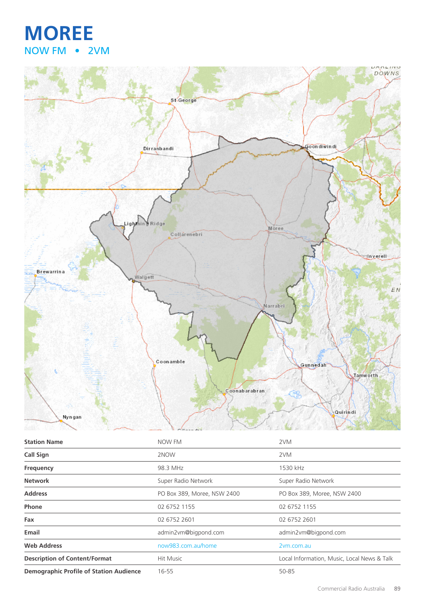## **MOREE** NOW FM • 2VM



| <b>Station Name</b>                            | NOW FM                      | 2VM                                         |
|------------------------------------------------|-----------------------------|---------------------------------------------|
| Call Sign                                      | 2NOW                        | 2VM                                         |
| Frequency                                      | 98.3 MHz                    | 1530 kHz                                    |
| <b>Network</b>                                 | Super Radio Network         | Super Radio Network                         |
| <b>Address</b>                                 | PO Box 389, Moree, NSW 2400 | PO Box 389, Moree, NSW 2400                 |
| Phone                                          | 02 6752 1155                | 02 6752 1155                                |
| Fax                                            | 02 6752 2601                | 02 6752 2601                                |
| Email                                          | admin2vm@bigpond.com        | admin2vm@bigpond.com                        |
| <b>Web Address</b>                             | now983.com.au/home          | 2vm.com.au                                  |
| <b>Description of Content/Format</b>           | Hit Music                   | Local Information, Music, Local News & Talk |
| <b>Demographic Profile of Station Audience</b> | 16-55                       | 50-85                                       |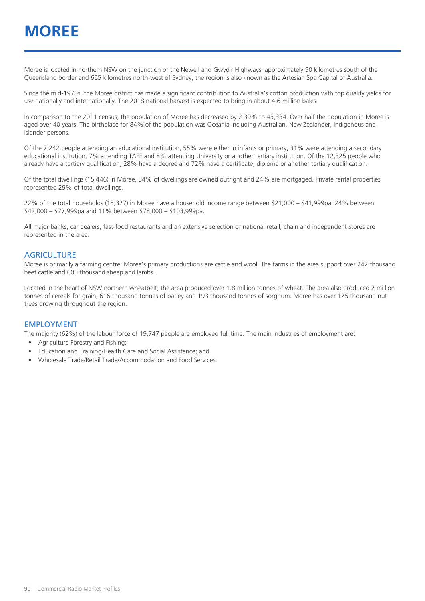## **MOREE**

Moree is located in northern NSW on the junction of the Newell and Gwydir Highways, approximately 90 kilometres south of the Queensland border and 665 kilometres north-west of Sydney, the region is also known as the Artesian Spa Capital of Australia.

Since the mid-1970s, the Moree district has made a significant contribution to Australia's cotton production with top quality yields for use nationally and internationally. The 2018 national harvest is expected to bring in about 4.6 million bales.

In comparison to the 2011 census, the population of Moree has decreased by 2.39% to 43,334. Over half the population in Moree is aged over 40 years. The birthplace for 84% of the population was Oceania including Australian, New Zealander, Indigenous and Islander persons.

Of the 7,242 people attending an educational institution, 55% were either in infants or primary, 31% were attending a secondary educational institution, 7% attending TAFE and 8% attending University or another tertiary institution. Of the 12,325 people who already have a tertiary qualification, 28% have a degree and 72% have a certificate, diploma or another tertiary qualification.

Of the total dwellings (15,446) in Moree, 34% of dwellings are owned outright and 24% are mortgaged. Private rental properties represented 29% of total dwellings.

22% of the total households (15,327) in Moree have a household income range between \$21,000 – \$41,999pa; 24% between \$42,000 – \$77,999pa and 11% between \$78,000 – \$103,999pa.

All major banks, car dealers, fast-food restaurants and an extensive selection of national retail, chain and independent stores are represented in the area.

#### **AGRICULTURE**

Moree is primarily a farming centre. Moree's primary productions are cattle and wool. The farms in the area support over 242 thousand beef cattle and 600 thousand sheep and lambs.

Located in the heart of NSW northern wheatbelt; the area produced over 1.8 million tonnes of wheat. The area also produced 2 million tonnes of cereals for grain, 616 thousand tonnes of barley and 193 thousand tonnes of sorghum. Moree has over 125 thousand nut trees growing throughout the region.

#### EMPLOYMENT

The majority (62%) of the labour force of 19,747 people are employed full time. The main industries of employment are:

- Agriculture Forestry and Fishing;
- Education and Training/Health Care and Social Assistance; and
- Wholesale Trade/Retail Trade/Accommodation and Food Services.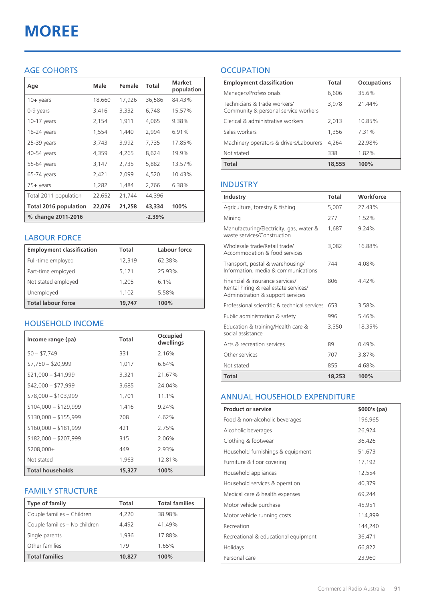# **MOREE**

### AGE COHORTS

| Age                          | Male   | Female | Total    | <b>Market</b><br>population |
|------------------------------|--------|--------|----------|-----------------------------|
| $10 + \gamma$ ears           | 18,660 | 17,926 | 36,586   | 84.43%                      |
| 0-9 years                    | 3,416  | 3,332  | 6,748    | 15.57%                      |
| $10-17$ years                | 2,154  | 1,911  | 4,065    | 9.38%                       |
| 18-24 years                  | 1,554  | 1,440  | 2,994    | 6.91%                       |
| 25-39 years                  | 3,743  | 3,992  | 7,735    | 17.85%                      |
| 40-54 years                  | 4,359  | 4,265  | 8,624    | 19.9%                       |
| 55-64 years                  | 3,147  | 2,735  | 5,882    | 13.57%                      |
| 65-74 years                  | 2,421  | 2,099  | 4,520    | 10.43%                      |
| 75+ years                    | 1,282  | 1,484  | 2,766    | 6.38%                       |
| Total 2011 population        | 22,652 | 21,744 | 44,396   |                             |
| <b>Total 2016 population</b> | 22,076 | 21,258 | 43,334   | 100%                        |
| % change 2011-2016           |        |        | $-2.39%$ |                             |

#### LABOUR FORCE

| <b>Employment classification</b> | Total  | Labour force |
|----------------------------------|--------|--------------|
| Full-time employed               | 12,319 | 62.38%       |
| Part-time employed               | 5,121  | 25.93%       |
| Not stated employed              | 1.205  | 6.1%         |
| Unemployed                       | 1,102  | 5.58%        |
| <b>Total labour force</b>        | 19,747 | 100%         |

#### HOUSEHOLD INCOME

| Income range (pa)       | Total  | Occupied<br>dwellings |
|-------------------------|--------|-----------------------|
| $$0 - $7,749$           | 331    | 2.16%                 |
| $$7,750 - $20,999$      | 1,017  | 6.64%                 |
| $$21,000 - $41,999$     | 3,321  | 21.67%                |
| $$42,000 - $77,999$     | 3,685  | 24.04%                |
| $$78,000 - $103,999$    | 1,701  | 11.1%                 |
| $$104,000 - $129,999$   | 1,416  | 9.24%                 |
| $$130,000 - $155,999$   | 708    | 4.62%                 |
| $$160,000 - $181,999$   | 421    | 2.75%                 |
| $$182,000 - $207,999$   | 315    | 2.06%                 |
| \$208,000+              | 449    | 2.93%                 |
| Not stated              | 1,963  | 12.81%                |
| <b>Total households</b> | 15,327 | 100%                  |

#### FAMILY STRUCTURE

| Type of family                | Total  | <b>Total families</b> |
|-------------------------------|--------|-----------------------|
| Couple families - Children    | 4.220  | 38.98%                |
| Couple families - No children | 4.492  | 41.49%                |
| Single parents                | 1,936  | 17.88%                |
| Other families                | 179    | 1.65%                 |
| <b>Total families</b>         | 10,827 | 100%                  |

### **OCCUPATION**

| <b>Employment classification</b>                                     | <b>Total</b> | <b>Occupations</b> |
|----------------------------------------------------------------------|--------------|--------------------|
| Managers/Professionals                                               | 6.606        | 35.6%              |
| Technicians & trade workers/<br>Community & personal service workers | 3,978        | 21.44%             |
| Clerical & administrative workers                                    | 2,013        | 10.85%             |
| Sales workers                                                        | 1,356        | 7.31%              |
| Machinery operators & drivers/Labourers                              | 4.264        | 22.98%             |
| Not stated                                                           | 338          | 1.82%              |
| <b>Total</b>                                                         | 18,555       | 100%               |

#### INDUSTRY

| Industry                                                                                                      | Total  | Workforce |
|---------------------------------------------------------------------------------------------------------------|--------|-----------|
| Agriculture, forestry & fishing                                                                               | 5,007  | 27.43%    |
| Mining                                                                                                        | 277    | 1.52%     |
| Manufacturing/Electricity, gas, water &<br>waste services/Construction                                        | 1,687  | 9.24%     |
| Wholesale trade/Retail trade/<br>Accommodation & food services                                                | 3.082  | 16.88%    |
| Transport, postal & warehousing/<br>Information, media & communications                                       | 744    | 4.08%     |
| Financial & insurance services/<br>Rental hiring & real estate services/<br>Administration & support services | 806    | 442%      |
| Professional scientific & technical services                                                                  | 653    | 3.58%     |
| Public administration & safety                                                                                | 996    | 546%      |
| Education & training/Health care &<br>social assistance                                                       | 3.350  | 18.35%    |
| Arts & recreation services                                                                                    | 89     | 0.49%     |
| Other services                                                                                                | 707    | 3.87%     |
| Not stated                                                                                                    | 855    | 4.68%     |
| Total                                                                                                         | 18,253 | 100%      |

#### ANNUAL HOUSEHOLD EXPENDITURE

| <b>Product or service</b>            | $$000's$ (pa) |
|--------------------------------------|---------------|
| Food & non-alcoholic beverages       | 196,965       |
| Alcoholic beverages                  | 26,924        |
| Clothing & footwear                  | 36,426        |
| Household furnishings & equipment    | 51,673        |
| Furniture & floor covering           | 17,192        |
| Household appliances                 | 12,554        |
| Household services & operation       | 40,379        |
| Medical care & health expenses       | 69,244        |
| Motor vehicle purchase               | 45,951        |
| Motor vehicle running costs          | 114,899       |
| Recreation                           | 144,240       |
| Recreational & educational equipment | 36,471        |
| Holidays                             | 66,822        |
| Personal care                        | 23,960        |